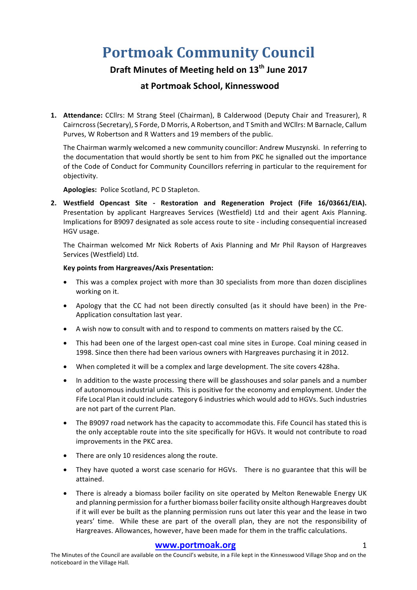# **Portmoak Community Council**

## **Draft Minutes of Meeting held on 13th June 2017**

### **at Portmoak School, Kinnesswood**

**1. Attendance:** CCllrs: M Strang Steel (Chairman), B Calderwood (Deputy Chair and Treasurer), R Cairncross (Secretary), S Forde, D Morris, A Robertson, and T Smith and WCllrs: M Barnacle, Callum Purves, W Robertson and R Watters and 19 members of the public.

The Chairman warmly welcomed a new community councillor: Andrew Muszynski. In referring to the documentation that would shortly be sent to him from PKC he signalled out the importance of the Code of Conduct for Community Councillors referring in particular to the requirement for objectivity.

Apologies: Police Scotland, PC D Stapleton.

**2. Westfield Opencast Site - Restoration and Regeneration Project (Fife 16/03661/EIA).**  Presentation by applicant Hargreaves Services (Westfield) Ltd and their agent Axis Planning. Implications for B9097 designated as sole access route to site - including consequential increased HGV usage.

The Chairman welcomed Mr Nick Roberts of Axis Planning and Mr Phil Rayson of Hargreaves Services (Westfield) Ltd.

#### **Key points from Hargreaves/Axis Presentation:**

- This was a complex project with more than 30 specialists from more than dozen disciplines working on it.
- Apology that the CC had not been directly consulted (as it should have been) in the Pre-Application consultation last year.
- A wish now to consult with and to respond to comments on matters raised by the CC.
- This had been one of the largest open-cast coal mine sites in Europe. Coal mining ceased in 1998. Since then there had been various owners with Hargreaves purchasing it in 2012.
- When completed it will be a complex and large development. The site covers 428ha.
- In addition to the waste processing there will be glasshouses and solar panels and a number of autonomous industrial units. This is positive for the economy and employment. Under the Fife Local Plan it could include category 6 industries which would add to HGVs. Such industries are not part of the current Plan.
- The B9097 road network has the capacity to accommodate this. Fife Council has stated this is the only acceptable route into the site specifically for HGVs. It would not contribute to road improvements in the PKC area.
- There are only 10 residences along the route.
- They have quoted a worst case scenario for HGVs. There is no guarantee that this will be attained.
- There is already a biomass boiler facility on site operated by Melton Renewable Energy UK and planning permission for a further biomass boiler facility onsite although Hargreaves doubt if it will ever be built as the planning permission runs out later this year and the lease in two years' time. While these are part of the overall plan, they are not the responsibility of Hargreaves. Allowances, however, have been made for them in the traffic calculations.

#### **www.portmoak.org** 1

The Minutes of the Council are available on the Council's website, in a File kept in the Kinnesswood Village Shop and on the noticeboard in the Village Hall.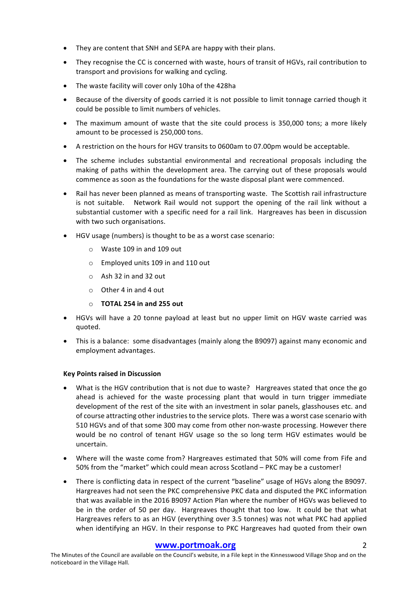- They are content that SNH and SEPA are happy with their plans.
- They recognise the CC is concerned with waste, hours of transit of HGVs, rail contribution to transport and provisions for walking and cycling.
- The waste facility will cover only 10ha of the 428ha
- Because of the diversity of goods carried it is not possible to limit tonnage carried though it could be possible to limit numbers of vehicles.
- The maximum amount of waste that the site could process is 350,000 tons; a more likely amount to be processed is 250,000 tons.
- A restriction on the hours for HGV transits to 0600am to 07.00pm would be acceptable.
- The scheme includes substantial environmental and recreational proposals including the making of paths within the development area. The carrying out of these proposals would commence as soon as the foundations for the waste disposal plant were commenced.
- Rail has never been planned as means of transporting waste. The Scottish rail infrastructure is not suitable. Network Rail would not support the opening of the rail link without a substantial customer with a specific need for a rail link. Hargreaves has been in discussion with two such organisations.
- HGV usage (numbers) is thought to be as a worst case scenario:
	- $\circ$  Waste 109 in and 109 out
	- $\circ$  Employed units 109 in and 110 out
	- $\circ$  Ash 32 in and 32 out
	- $\circ$  Other 4 in and 4 out
	- o **TOTAL 254 in and 255 out**
- HGVs will have a 20 tonne payload at least but no upper limit on HGV waste carried was quoted.
- This is a balance: some disadvantages (mainly along the B9097) against many economic and employment advantages.

#### **Key Points raised in Discussion**

- What is the HGV contribution that is not due to waste? Hargreaves stated that once the go ahead is achieved for the waste processing plant that would in turn trigger immediate development of the rest of the site with an investment in solar panels, glasshouses etc. and of course attracting other industries to the service plots. There was a worst case scenario with 510 HGVs and of that some 300 may come from other non-waste processing. However there would be no control of tenant HGV usage so the so long term HGV estimates would be uncertain.
- Where will the waste come from? Hargreaves estimated that 50% will come from Fife and 50% from the "market" which could mean across Scotland – PKC may be a customer!
- There is conflicting data in respect of the current "baseline" usage of HGVs along the B9097. Hargreaves had not seen the PKC comprehensive PKC data and disputed the PKC information that was available in the 2016 B9097 Action Plan where the number of HGVs was believed to be in the order of 50 per day. Hargreaves thought that too low. It could be that what Hargreaves refers to as an HGV (everything over 3.5 tonnes) was not what PKC had applied when identifying an HGV. In their response to PKC Hargreaves had quoted from their own

#### **www.portmoak.org** 2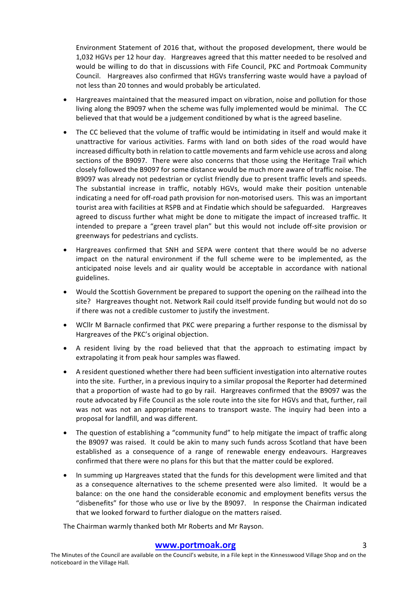Environment Statement of 2016 that, without the proposed development, there would be 1,032 HGVs per 12 hour day. Hargreaves agreed that this matter needed to be resolved and would be willing to do that in discussions with Fife Council, PKC and Portmoak Community Council. Hargreaves also confirmed that HGVs transferring waste would have a payload of not less than 20 tonnes and would probably be articulated.

- Hargreaves maintained that the measured impact on vibration, noise and pollution for those living along the B9097 when the scheme was fully implemented would be minimal. The CC believed that that would be a judgement conditioned by what is the agreed baseline.
- The CC believed that the volume of traffic would be intimidating in itself and would make it unattractive for various activities. Farms with land on both sides of the road would have increased difficulty both in relation to cattle movements and farm vehicle use across and along sections of the B9097. There were also concerns that those using the Heritage Trail which closely followed the B9097 for some distance would be much more aware of traffic noise. The B9097 was already not pedestrian or cyclist friendly due to present traffic levels and speeds. The substantial increase in traffic, notably HGVs, would make their position untenable indicating a need for off-road path provision for non-motorised users. This was an important tourist area with facilities at RSPB and at Findatie which should be safeguarded. Hargreaves agreed to discuss further what might be done to mitigate the impact of increased traffic. It intended to prepare a "green travel plan" but this would not include off-site provision or greenways for pedestrians and cyclists.
- Hargreaves confirmed that SNH and SEPA were content that there would be no adverse impact on the natural environment if the full scheme were to be implemented, as the anticipated noise levels and air quality would be acceptable in accordance with national guidelines.
- Would the Scottish Government be prepared to support the opening on the railhead into the site? Hargreaves thought not. Network Rail could itself provide funding but would not do so if there was not a credible customer to justify the investment.
- WCllr M Barnacle confirmed that PKC were preparing a further response to the dismissal by Hargreaves of the PKC's original objection.
- A resident living by the road believed that that the approach to estimating impact by extrapolating it from peak hour samples was flawed.
- A resident questioned whether there had been sufficient investigation into alternative routes into the site. Further, in a previous inquiry to a similar proposal the Reporter had determined that a proportion of waste had to go by rail. Hargreaves confirmed that the B9097 was the route advocated by Fife Council as the sole route into the site for HGVs and that, further, rail was not was not an appropriate means to transport waste. The inquiry had been into a proposal for landfill, and was different.
- The question of establishing a "community fund" to help mitigate the impact of traffic along the B9097 was raised. It could be akin to many such funds across Scotland that have been established as a consequence of a range of renewable energy endeavours. Hargreaves confirmed that there were no plans for this but that the matter could be explored.
- In summing up Hargreaves stated that the funds for this development were limited and that as a consequence alternatives to the scheme presented were also limited. It would be a balance: on the one hand the considerable economic and employment benefits versus the "disbenefits" for those who use or live by the B9097. In response the Chairman indicated that we looked forward to further dialogue on the matters raised.

The Chairman warmly thanked both Mr Roberts and Mr Rayson.

#### **www.portmoak.org** 3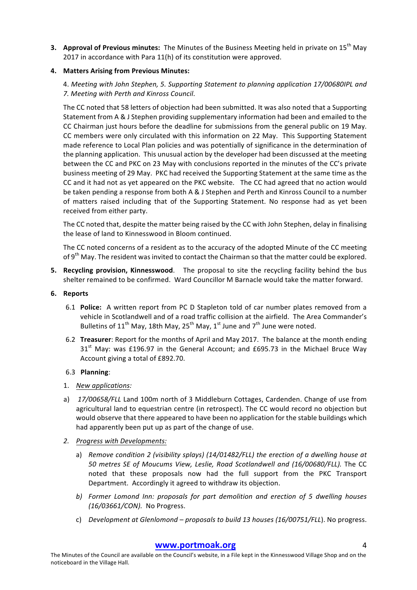**3. Approval of Previous minutes:** The Minutes of the Business Meeting held in private on 15<sup>th</sup> May 2017 in accordance with Para  $11(h)$  of its constitution were approved.

#### **4. Matters Arising from Previous Minutes:**

4. Meeting with John Stephen, 5. Supporting Statement to planning application 17/00680IPL and *7. Meeting with Perth and Kinross Council*. 

The CC noted that 58 letters of objection had been submitted. It was also noted that a Supporting Statement from A & J Stephen providing supplementary information had been and emailed to the CC Chairman just hours before the deadline for submissions from the general public on 19 May. CC members were only circulated with this information on 22 May. This Supporting Statement made reference to Local Plan policies and was potentially of significance in the determination of the planning application. This unusual action by the developer had been discussed at the meeting between the CC and PKC on 23 May with conclusions reported in the minutes of the CC's private business meeting of 29 May. PKC had received the Supporting Statement at the same time as the CC and it had not as vet appeared on the PKC website. The CC had agreed that no action would be taken pending a response from both A & J Stephen and Perth and Kinross Council to a number of matters raised including that of the Supporting Statement. No response had as yet been received from either party.

The CC noted that, despite the matter being raised by the CC with John Stephen, delay in finalising the lease of land to Kinnesswood in Bloom continued.

The CC noted concerns of a resident as to the accuracy of the adopted Minute of the CC meeting of  $9<sup>th</sup>$  May. The resident was invited to contact the Chairman so that the matter could be explored.

**5.** Recycling provision, Kinnesswood. The proposal to site the recycling facility behind the bus shelter remained to be confirmed. Ward Councillor M Barnacle would take the matter forward.

#### **6. Reports**

- 6.1 **Police:** A written report from PC D Stapleton told of car number plates removed from a vehicle in Scotlandwell and of a road traffic collision at the airfield. The Area Commander's Bulletins of  $11^{th}$  May, 18th May, 25<sup>th</sup> May, 1<sup>st</sup> June and  $7^{th}$  June were noted.
- 6.2 **Treasurer**: Report for the months of April and May 2017. The balance at the month ending  $31<sup>st</sup>$  May: was £196.97 in the General Account; and £695.73 in the Michael Bruce Way Account giving a total of £892.70.

#### 6.3 **Planning**:

- 1. *New applications:*
- a) 17/00658/FLL Land 100m north of 3 Middleburn Cottages, Cardenden. Change of use from agricultural land to equestrian centre (in retrospect). The CC would record no objection but would observe that there appeared to have been no application for the stable buildings which had apparently been put up as part of the change of use.
- *2. Progress with Developments:*
	- a) Remove condition 2 (visibility splays) (14/01482/FLL) the erection of a dwelling house at *50 metres SE of Moucums View, Leslie, Road Scotlandwell and (16/00680/FLL).* The CC noted that these proposals now had the full support from the PKC Transport Department. Accordingly it agreed to withdraw its objection.
	- *b)* Former Lomond Inn: proposals for part demolition and erection of 5 dwelling houses *(16/03661/CON).* No Progress.
	- c) *Development at Glenlomond – proposals to build 13 houses (16/00751/FLL*). No progress.